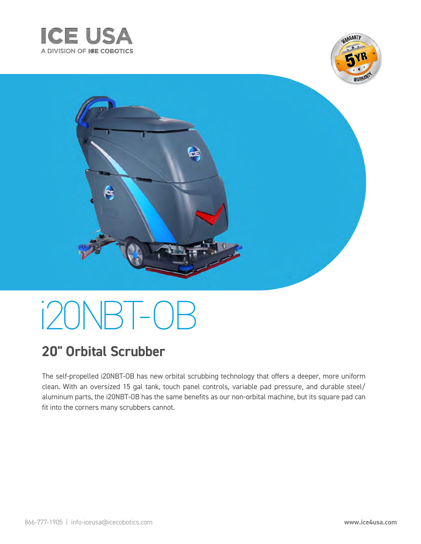





# i 20 NBT-0 B

### **20" Orbital Scrubber**

The self-propelled i20NBT-OB has new orbital scrubbing technology that offers a deeper, more uniform clean. With an oversized 15 gal tank, touch panel controls, variable pad pressure, and durable steel/ aluminum parts, the i20NBT-OB has the same benefits as our non-orbital machine, but its square pad can fit into the corners many scrubbers cannot.